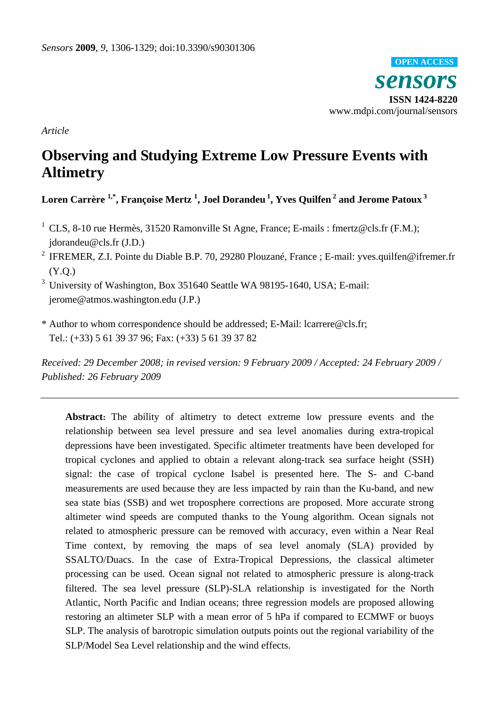*sensors*  **ISSN 1424-8220**  www.mdpi.com/journal/sensors **OPEN ACCESS**

*Article* 

# **Observing and Studying Extreme Low Pressure Events with Altimetry**

**Loren Carrère 1,\*, Françoise Mertz 1 , Joel Dorandeu 1, Yves Quilfen 2 and Jerome Patoux 3**

- <sup>1</sup> CLS, 8-10 rue Hermès, 31520 Ramonville St Agne, France; E-mails : fmertz@cls.fr (F.M.); jdorandeu@cls.fr (J.D.)
- <sup>2</sup> IFREMER, Z.I. Pointe du Diable B.P. 70, 29280 Plouzané, France ; E-mail: yves.quilfen@ifremer.fr (Y.Q.)

3 University of Washington, Box 351640 Seattle WA 98195-1640, USA; E-mail: jerome@atmos.washington.edu (J.P.)

\* Author to whom correspondence should be addressed; E-Mail: lcarrere@cls.fr; Tel.: (+33) 5 61 39 37 96; Fax: (+33) 5 61 39 37 82

*Received: 29 December 2008; in revised version: 9 February 2009 / Accepted: 24 February 2009 / Published: 26 February 2009* 

**Abstract:** The ability of altimetry to detect extreme low pressure events and the relationship between sea level pressure and sea level anomalies during extra-tropical depressions have been investigated. Specific altimeter treatments have been developed for tropical cyclones and applied to obtain a relevant along-track sea surface height (SSH) signal: the case of tropical cyclone Isabel is presented here. The S- and C-band measurements are used because they are less impacted by rain than the Ku-band, and new sea state bias (SSB) and wet troposphere corrections are proposed. More accurate strong altimeter wind speeds are computed thanks to the Young algorithm. Ocean signals not related to atmospheric pressure can be removed with accuracy, even within a Near Real Time context, by removing the maps of sea level anomaly (SLA) provided by SSALTO/Duacs. In the case of Extra-Tropical Depressions, the classical altimeter processing can be used. Ocean signal not related to atmospheric pressure is along-track filtered. The sea level pressure (SLP)-SLA relationship is investigated for the North Atlantic, North Pacific and Indian oceans; three regression models are proposed allowing restoring an altimeter SLP with a mean error of 5 hPa if compared to ECMWF or buoys SLP. The analysis of barotropic simulation outputs points out the regional variability of the SLP/Model Sea Level relationship and the wind effects.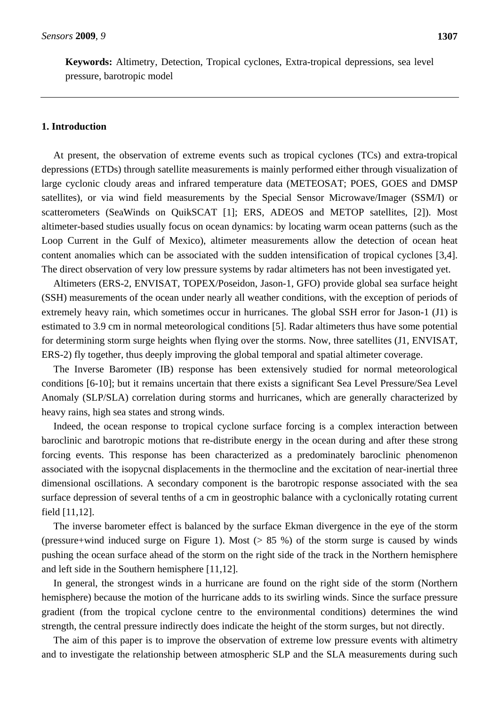**Keywords:** Altimetry, Detection, Tropical cyclones, Extra-tropical depressions, sea level pressure, barotropic model

### **1. Introduction**

At present, the observation of extreme events such as tropical cyclones (TCs) and extra-tropical depressions (ETDs) through satellite measurements is mainly performed either through visualization of large cyclonic cloudy areas and infrared temperature data (METEOSAT; POES, GOES and DMSP satellites), or via wind field measurements by the Special Sensor Microwave/Imager (SSM/I) or scatterometers (SeaWinds on QuikSCAT [1]; ERS, ADEOS and METOP satellites, [2]). Most altimeter-based studies usually focus on ocean dynamics: by locating warm ocean patterns (such as the Loop Current in the Gulf of Mexico), altimeter measurements allow the detection of ocean heat content anomalies which can be associated with the sudden intensification of tropical cyclones [3,4]. The direct observation of very low pressure systems by radar altimeters has not been investigated yet.

Altimeters (ERS-2, ENVISAT, TOPEX/Poseidon, Jason-1, GFO) provide global sea surface height (SSH) measurements of the ocean under nearly all weather conditions, with the exception of periods of extremely heavy rain, which sometimes occur in hurricanes. The global SSH error for Jason-1 (J1) is estimated to 3.9 cm in normal meteorological conditions [5]. Radar altimeters thus have some potential for determining storm surge heights when flying over the storms. Now, three satellites (J1, ENVISAT, ERS-2) fly together, thus deeply improving the global temporal and spatial altimeter coverage.

The Inverse Barometer (IB) response has been extensively studied for normal meteorological conditions [6-10]; but it remains uncertain that there exists a significant Sea Level Pressure/Sea Level Anomaly (SLP/SLA) correlation during storms and hurricanes, which are generally characterized by heavy rains, high sea states and strong winds.

Indeed, the ocean response to tropical cyclone surface forcing is a complex interaction between baroclinic and barotropic motions that re-distribute energy in the ocean during and after these strong forcing events. This response has been characterized as a predominately baroclinic phenomenon associated with the isopycnal displacements in the thermocline and the excitation of near-inertial three dimensional oscillations. A secondary component is the barotropic response associated with the sea surface depression of several tenths of a cm in geostrophic balance with a cyclonically rotating current field [11,12].

The inverse barometer effect is balanced by the surface Ekman divergence in the eye of the storm (pressure+wind induced surge on Figure 1). Most (> 85 %) of the storm surge is caused by winds pushing the ocean surface ahead of the storm on the right side of the track in the Northern hemisphere and left side in the Southern hemisphere [11,12].

In general, the strongest winds in a hurricane are found on the right side of the storm (Northern hemisphere) because the motion of the hurricane adds to its swirling winds. Since the surface pressure gradient (from the tropical cyclone centre to the environmental conditions) determines the wind strength, the central pressure indirectly does indicate the height of the storm surges, but not directly.

The aim of this paper is to improve the observation of extreme low pressure events with altimetry and to investigate the relationship between atmospheric SLP and the SLA measurements during such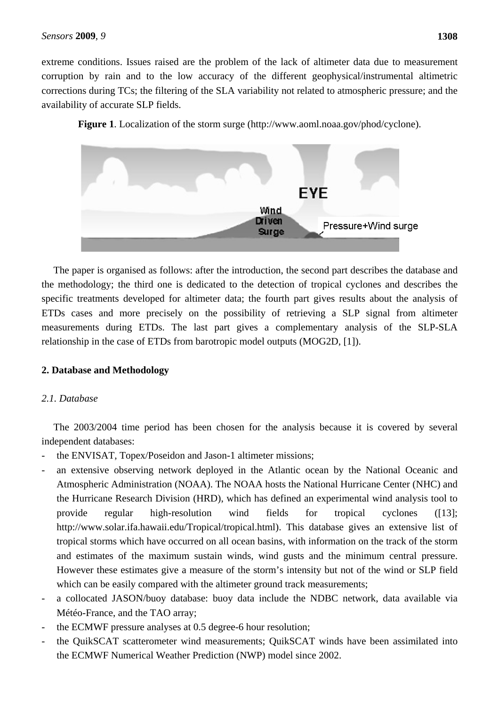extreme conditions. Issues raised are the problem of the lack of altimeter data due to measurement corruption by rain and to the low accuracy of the different geophysical/instrumental altimetric corrections during TCs; the filtering of the SLA variability not related to atmospheric pressure; and the availability of accurate SLP fields.

**Figure 1**. Localization of the storm surge (http://www.aoml.noaa.gov/phod/cyclone).



The paper is organised as follows: after the introduction, the second part describes the database and the methodology; the third one is dedicated to the detection of tropical cyclones and describes the specific treatments developed for altimeter data; the fourth part gives results about the analysis of ETDs cases and more precisely on the possibility of retrieving a SLP signal from altimeter measurements during ETDs. The last part gives a complementary analysis of the SLP-SLA relationship in the case of ETDs from barotropic model outputs (MOG2D, [1]).

# **2. Database and Methodology**

# *2.1. Database*

The 2003/2004 time period has been chosen for the analysis because it is covered by several independent databases:

- the ENVISAT, Topex/Poseidon and Jason-1 altimeter missions;
- an extensive observing network deployed in the Atlantic ocean by the National Oceanic and Atmospheric Administration (NOAA). The NOAA hosts the National Hurricane Center (NHC) and the Hurricane Research Division (HRD), which has defined an experimental wind analysis tool to provide regular high-resolution wind fields for tropical cyclones ([13]; http://www.solar.ifa.hawaii.edu/Tropical/tropical.html). This database gives an extensive list of tropical storms which have occurred on all ocean basins, with information on the track of the storm and estimates of the maximum sustain winds, wind gusts and the minimum central pressure. However these estimates give a measure of the storm's intensity but not of the wind or SLP field which can be easily compared with the altimeter ground track measurements;
- a collocated JASON/buoy database: buoy data include the NDBC network, data available via Météo-France, and the TAO array;
- the ECMWF pressure analyses at 0.5 degree-6 hour resolution;
- the QuikSCAT scatterometer wind measurements; QuikSCAT winds have been assimilated into the ECMWF Numerical Weather Prediction (NWP) model since 2002.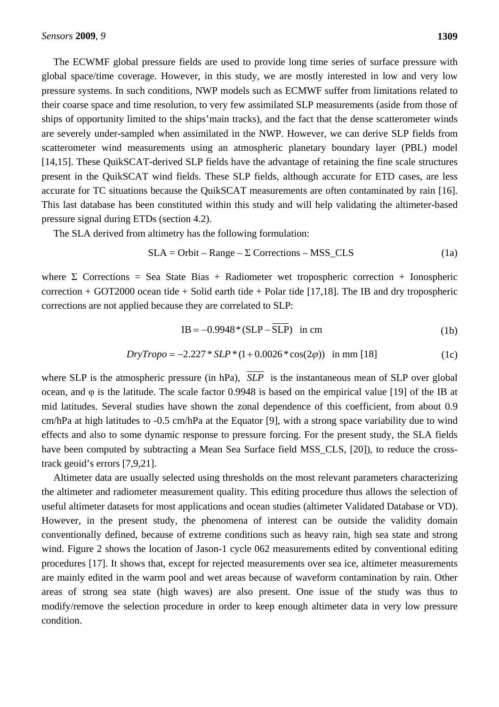The ECWMF global pressure fields are used to provide long time series of surface pressure with global space/time coverage. However, in this study, we are mostly interested in low and very low pressure systems. In such conditions, NWP models such as ECMWF suffer from limitations related to their coarse space and time resolution, to very few assimilated SLP measurements (aside from those of ships of opportunity limited to the ships'main tracks), and the fact that the dense scatterometer winds are severely under-sampled when assimilated in the NWP. However, we can derive SLP fields from scatterometer wind measurements using an atmospheric planetary boundary layer (PBL) model [14,15]. These QuikSCAT-derived SLP fields have the advantage of retaining the fine scale structures present in the QuikSCAT wind fields. These SLP fields, although accurate for ETD cases, are less accurate for TC situations because the QuikSCAT measurements are often contaminated by rain [16]. This last database has been constituted within this study and will help validating the altimeter-based pressure signal during ETDs (section 4.2).

The SLA derived from altimetry has the following formulation:

$$
SLA = Orbit - Range - \Sigma \text{Corrections} - MSS\_CLS \tag{1a}
$$

where  $\Sigma$  Corrections = Sea State Bias + Radiometer wet tropospheric correction + Ionospheric correction + GOT2000 ocean tide + Solid earth tide + Polar tide  $[17,18]$ . The IB and dry tropospheric corrections are not applied because they are correlated to SLP:

$$
IB = -0.9948 * (SLP - SLP) \text{ in cm} \tag{1b}
$$

$$
DryTropo = -2.227 * SLP * (1 + 0.0026 * cos(2\varphi)) \text{ in mm } [18]
$$
 (1c)

where SLP is the atmospheric pressure (in hPa),  $\overline{SLP}$  is the instantaneous mean of SLP over global ocean, and φ is the latitude. The scale factor 0.9948 is based on the empirical value [19] of the IB at mid latitudes. Several studies have shown the zonal dependence of this coefficient, from about 0.9 cm/hPa at high latitudes to -0.5 cm/hPa at the Equator [9], with a strong space variability due to wind effects and also to some dynamic response to pressure forcing. For the present study, the SLA fields have been computed by subtracting a Mean Sea Surface field MSS CLS, [20]), to reduce the crosstrack geoid's errors [7,9,21].

Altimeter data are usually selected using thresholds on the most relevant parameters characterizing the altimeter and radiometer measurement quality. This editing procedure thus allows the selection of useful altimeter datasets for most applications and ocean studies (altimeter Validated Database or VD). However, in the present study, the phenomena of interest can be outside the validity domain conventionally defined, because of extreme conditions such as heavy rain, high sea state and strong wind. Figure 2 shows the location of Jason-1 cycle 062 measurements edited by conventional editing procedures [17]. It shows that, except for rejected measurements over sea ice, altimeter measurements are mainly edited in the warm pool and wet areas because of waveform contamination by rain. Other areas of strong sea state (high waves) are also present. One issue of the study was thus to modify/remove the selection procedure in order to keep enough altimeter data in very low pressure condition.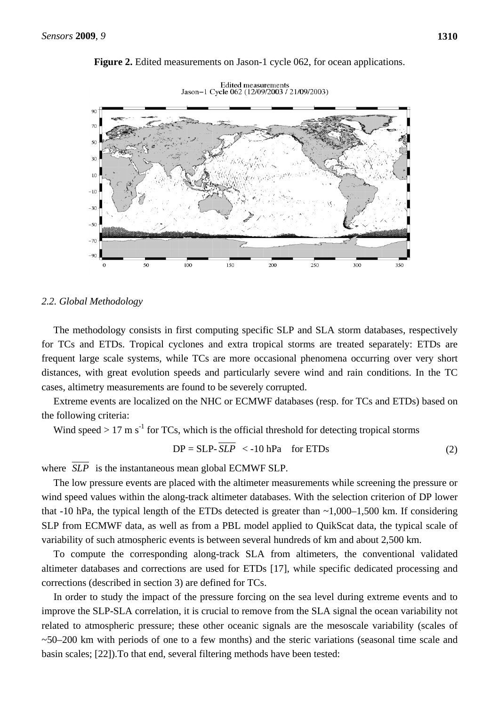



Edited measurements<br>Jason-1 Cycle 062 (12/09/2003 / 21/09/2003)

### *2.2. Global Methodology*

The methodology consists in first computing specific SLP and SLA storm databases, respectively for TCs and ETDs. Tropical cyclones and extra tropical storms are treated separately: ETDs are frequent large scale systems, while TCs are more occasional phenomena occurring over very short distances, with great evolution speeds and particularly severe wind and rain conditions. In the TC cases, altimetry measurements are found to be severely corrupted.

Extreme events are localized on the NHC or ECMWF databases (resp. for TCs and ETDs) based on the following criteria:

Wind speed  $> 17 \text{ m s}^{-1}$  for TCs, which is the official threshold for detecting tropical storms

$$
DP = SLP - SLP < -10 hPa \quad \text{for ETDs}
$$
 (2)

where *SLP* is the instantaneous mean global ECMWF SLP.

The low pressure events are placed with the altimeter measurements while screening the pressure or wind speed values within the along-track altimeter databases. With the selection criterion of DP lower that -10 hPa, the typical length of the ETDs detected is greater than  $\sim 1,000-1,500$  km. If considering SLP from ECMWF data, as well as from a PBL model applied to QuikScat data, the typical scale of variability of such atmospheric events is between several hundreds of km and about 2,500 km.

To compute the corresponding along-track SLA from altimeters, the conventional validated altimeter databases and corrections are used for ETDs [17], while specific dedicated processing and corrections (described in section 3) are defined for TCs.

In order to study the impact of the pressure forcing on the sea level during extreme events and to improve the SLP-SLA correlation, it is crucial to remove from the SLA signal the ocean variability not related to atmospheric pressure; these other oceanic signals are the mesoscale variability (scales of  $\sim$ 50–200 km with periods of one to a few months) and the steric variations (seasonal time scale and basin scales; [22]).To that end, several filtering methods have been tested: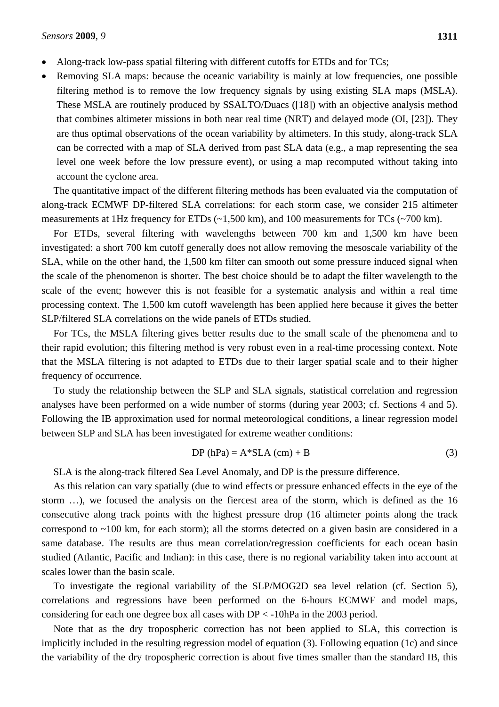- Along-track low-pass spatial filtering with different cutoffs for ETDs and for TCs;
- Removing SLA maps: because the oceanic variability is mainly at low frequencies, one possible filtering method is to remove the low frequency signals by using existing SLA maps (MSLA). These MSLA are routinely produced by SSALTO/Duacs ([18]) with an objective analysis method that combines altimeter missions in both near real time (NRT) and delayed mode (OI, [23]). They are thus optimal observations of the ocean variability by altimeters. In this study, along-track SLA can be corrected with a map of SLA derived from past SLA data (e.g., a map representing the sea level one week before the low pressure event), or using a map recomputed without taking into account the cyclone area.

The quantitative impact of the different filtering methods has been evaluated via the computation of along-track ECMWF DP-filtered SLA correlations: for each storm case, we consider 215 altimeter measurements at 1Hz frequency for ETDs (~1,500 km), and 100 measurements for TCs (~700 km).

For ETDs, several filtering with wavelengths between 700 km and 1,500 km have been investigated: a short 700 km cutoff generally does not allow removing the mesoscale variability of the SLA, while on the other hand, the 1,500 km filter can smooth out some pressure induced signal when the scale of the phenomenon is shorter. The best choice should be to adapt the filter wavelength to the scale of the event; however this is not feasible for a systematic analysis and within a real time processing context. The 1,500 km cutoff wavelength has been applied here because it gives the better SLP/filtered SLA correlations on the wide panels of ETDs studied.

For TCs, the MSLA filtering gives better results due to the small scale of the phenomena and to their rapid evolution; this filtering method is very robust even in a real-time processing context. Note that the MSLA filtering is not adapted to ETDs due to their larger spatial scale and to their higher frequency of occurrence.

To study the relationship between the SLP and SLA signals, statistical correlation and regression analyses have been performed on a wide number of storms (during year 2003; cf. Sections 4 and 5). Following the IB approximation used for normal meteorological conditions, a linear regression model between SLP and SLA has been investigated for extreme weather conditions:

$$
DP(hPa) = A * SLA (cm) + B
$$
 (3)

SLA is the along-track filtered Sea Level Anomaly, and DP is the pressure difference.

As this relation can vary spatially (due to wind effects or pressure enhanced effects in the eye of the storm …), we focused the analysis on the fiercest area of the storm, which is defined as the 16 consecutive along track points with the highest pressure drop (16 altimeter points along the track correspond to ~100 km, for each storm); all the storms detected on a given basin are considered in a same database. The results are thus mean correlation/regression coefficients for each ocean basin studied (Atlantic, Pacific and Indian): in this case, there is no regional variability taken into account at scales lower than the basin scale.

To investigate the regional variability of the SLP/MOG2D sea level relation (cf. Section 5), correlations and regressions have been performed on the 6-hours ECMWF and model maps, considering for each one degree box all cases with DP < -10hPa in the 2003 period.

Note that as the dry tropospheric correction has not been applied to SLA, this correction is implicitly included in the resulting regression model of equation (3). Following equation (1c) and since the variability of the dry tropospheric correction is about five times smaller than the standard IB, this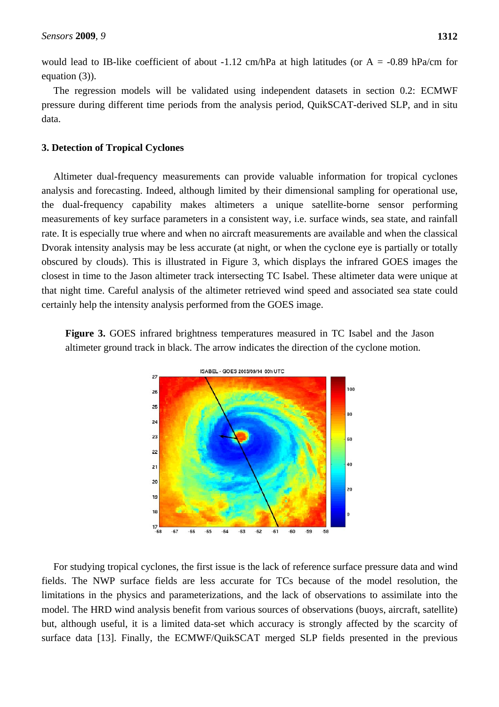would lead to IB-like coefficient of about -1.12 cm/hPa at high latitudes (or  $A = -0.89$  hPa/cm for equation (3)).

The regression models will be validated using independent datasets in section 0.2: ECMWF pressure during different time periods from the analysis period, QuikSCAT-derived SLP, and in situ data.

### **3. Detection of Tropical Cyclones**

Altimeter dual-frequency measurements can provide valuable information for tropical cyclones analysis and forecasting. Indeed, although limited by their dimensional sampling for operational use, the dual-frequency capability makes altimeters a unique satellite-borne sensor performing measurements of key surface parameters in a consistent way, i.e. surface winds, sea state, and rainfall rate. It is especially true where and when no aircraft measurements are available and when the classical Dvorak intensity analysis may be less accurate (at night, or when the cyclone eye is partially or totally obscured by clouds). This is illustrated in Figure 3, which displays the infrared GOES images the closest in time to the Jason altimeter track intersecting TC Isabel. These altimeter data were unique at that night time. Careful analysis of the altimeter retrieved wind speed and associated sea state could certainly help the intensity analysis performed from the GOES image.

**Figure 3.** GOES infrared brightness temperatures measured in TC Isabel and the Jason altimeter ground track in black. The arrow indicates the direction of the cyclone motion.



For studying tropical cyclones, the first issue is the lack of reference surface pressure data and wind fields. The NWP surface fields are less accurate for TCs because of the model resolution, the limitations in the physics and parameterizations, and the lack of observations to assimilate into the model. The HRD wind analysis benefit from various sources of observations (buoys, aircraft, satellite) but, although useful, it is a limited data-set which accuracy is strongly affected by the scarcity of surface data [13]. Finally, the ECMWF/QuikSCAT merged SLP fields presented in the previous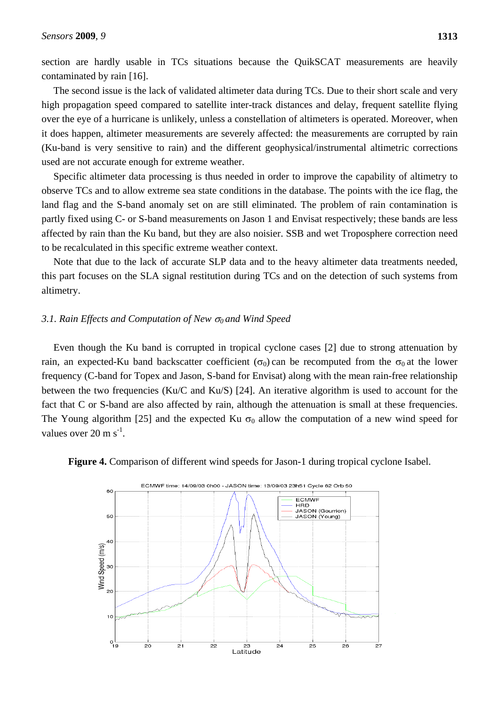section are hardly usable in TCs situations because the QuikSCAT measurements are heavily contaminated by rain [16].

The second issue is the lack of validated altimeter data during TCs. Due to their short scale and very high propagation speed compared to satellite inter-track distances and delay, frequent satellite flying over the eye of a hurricane is unlikely, unless a constellation of altimeters is operated. Moreover, when it does happen, altimeter measurements are severely affected: the measurements are corrupted by rain (Ku-band is very sensitive to rain) and the different geophysical/instrumental altimetric corrections used are not accurate enough for extreme weather.

Specific altimeter data processing is thus needed in order to improve the capability of altimetry to observe TCs and to allow extreme sea state conditions in the database. The points with the ice flag, the land flag and the S-band anomaly set on are still eliminated. The problem of rain contamination is partly fixed using C- or S-band measurements on Jason 1 and Envisat respectively; these bands are less affected by rain than the Ku band, but they are also noisier. SSB and wet Troposphere correction need to be recalculated in this specific extreme weather context.

Note that due to the lack of accurate SLP data and to the heavy altimeter data treatments needed, this part focuses on the SLA signal restitution during TCs and on the detection of such systems from altimetry.

### *3.1. Rain Effects and Computation of New 0 and Wind Speed*

Even though the Ku band is corrupted in tropical cyclone cases [2] due to strong attenuation by rain, an expected-Ku band backscatter coefficient  $(\sigma_0)$  can be recomputed from the  $\sigma_0$  at the lower frequency (C-band for Topex and Jason, S-band for Envisat) along with the mean rain-free relationship between the two frequencies (Ku/C and Ku/S) [24]. An iterative algorithm is used to account for the fact that C or S-band are also affected by rain, although the attenuation is small at these frequencies. The Young algorithm [25] and the expected Ku  $\sigma_0$  allow the computation of a new wind speed for values over  $20 \text{ m s}^{-1}$ .



**Figure 4.** Comparison of different wind speeds for Jason-1 during tropical cyclone Isabel.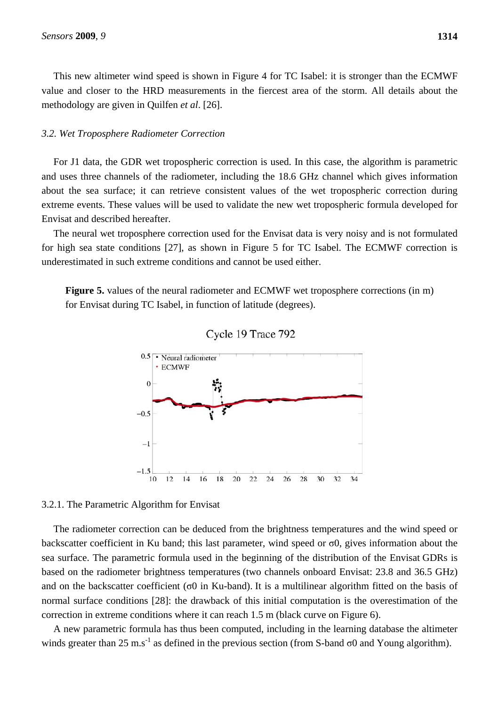This new altimeter wind speed is shown in Figure 4 for TC Isabel: it is stronger than the ECMWF value and closer to the HRD measurements in the fiercest area of the storm. All details about the methodology are given in Quilfen *et al*. [26].

### *3.2. Wet Troposphere Radiometer Correction*

For J1 data, the GDR wet tropospheric correction is used. In this case, the algorithm is parametric and uses three channels of the radiometer, including the 18.6 GHz channel which gives information about the sea surface; it can retrieve consistent values of the wet tropospheric correction during extreme events. These values will be used to validate the new wet tropospheric formula developed for Envisat and described hereafter.

The neural wet troposphere correction used for the Envisat data is very noisy and is not formulated for high sea state conditions [27], as shown in Figure 5 for TC Isabel. The ECMWF correction is underestimated in such extreme conditions and cannot be used either.

**Figure 5.** values of the neural radiometer and ECMWF wet troposphere corrections (in m) for Envisat during TC Isabel, in function of latitude (degrees).





### 3.2.1. The Parametric Algorithm for Envisat

The radiometer correction can be deduced from the brightness temperatures and the wind speed or backscatter coefficient in Ku band; this last parameter, wind speed or σ0, gives information about the sea surface. The parametric formula used in the beginning of the distribution of the Envisat GDRs is based on the radiometer brightness temperatures (two channels onboard Envisat: 23.8 and 36.5 GHz) and on the backscatter coefficient ( $\sigma$ 0 in Ku-band). It is a multilinear algorithm fitted on the basis of normal surface conditions [28]: the drawback of this initial computation is the overestimation of the correction in extreme conditions where it can reach 1.5 m (black curve on Figure 6).

A new parametric formula has thus been computed, including in the learning database the altimeter winds greater than 25 m.s<sup>-1</sup> as defined in the previous section (from S-band  $\sigma$ 0 and Young algorithm).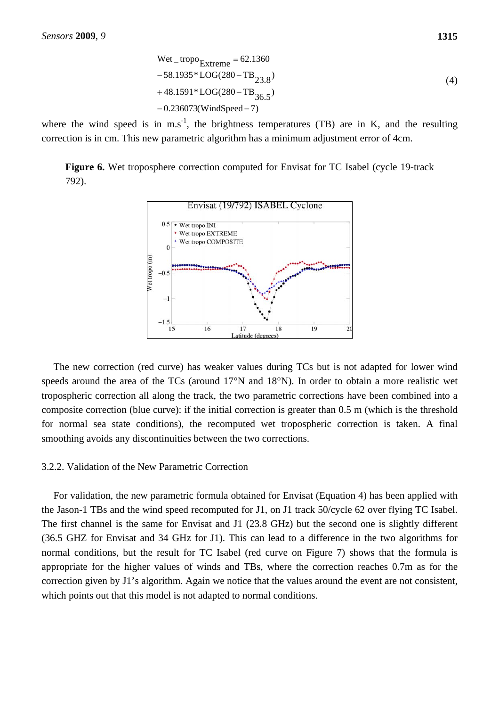\n
$$
\text{Wet\_tropo}_{\text{Extreme}} = 62.1360
$$
\n  
\n $\text{-}58.1935 \cdot \text{LOG}(280 - TB_{23.8})$ \n  
\n $\text{+}48.1591 \cdot \text{LOG}(280 - TB_{36.5})$ \n  
\n $\text{-}0.236073(\text{WindSpeed} - 7)$ \n

where the wind speed is in m.s<sup>-1</sup>, the brightness temperatures (TB) are in K, and the resulting correction is in cm. This new parametric algorithm has a minimum adjustment error of 4cm.

**Figure 6.** Wet troposphere correction computed for Envisat for TC Isabel (cycle 19-track 792).



The new correction (red curve) has weaker values during TCs but is not adapted for lower wind speeds around the area of the TCs (around 17°N and 18°N). In order to obtain a more realistic wet tropospheric correction all along the track, the two parametric corrections have been combined into a composite correction (blue curve): if the initial correction is greater than 0.5 m (which is the threshold for normal sea state conditions), the recomputed wet tropospheric correction is taken. A final smoothing avoids any discontinuities between the two corrections.

### 3.2.2. Validation of the New Parametric Correction

For validation, the new parametric formula obtained for Envisat (Equation 4) has been applied with the Jason-1 TBs and the wind speed recomputed for J1, on J1 track 50/cycle 62 over flying TC Isabel. The first channel is the same for Envisat and J1 (23.8 GHz) but the second one is slightly different (36.5 GHZ for Envisat and 34 GHz for J1). This can lead to a difference in the two algorithms for normal conditions, but the result for TC Isabel (red curve on Figure 7) shows that the formula is appropriate for the higher values of winds and TBs, where the correction reaches 0.7m as for the correction given by J1's algorithm. Again we notice that the values around the event are not consistent, which points out that this model is not adapted to normal conditions.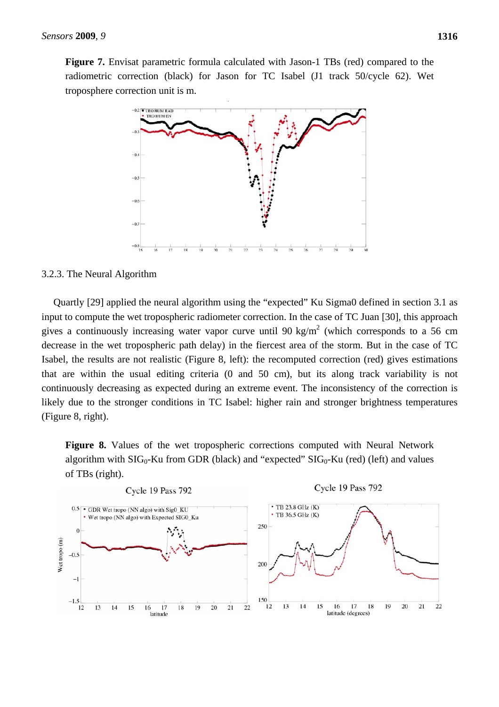Figure 7. Envisat parametric formula calculated with Jason-1 TBs (red) compared to the radiometric correction (black) for Jason for TC Isabel (J1 track 50/cycle 62). Wet troposphere correction unit is m.



# 3.2.3. The Neural Algorithm

Quartly [29] applied the neural algorithm using the "expected" Ku Sigma0 defined in section 3.1 as input to compute the wet tropospheric radiometer correction. In the case of TC Juan [30], this approach gives a continuously increasing water vapor curve until 90 kg/m<sup>2</sup> (which corresponds to a 56 cm decrease in the wet tropospheric path delay) in the fiercest area of the storm. But in the case of TC Isabel, the results are not realistic (Figure 8, left): the recomputed correction (red) gives estimations that are within the usual editing criteria (0 and 50 cm), but its along track variability is not continuously decreasing as expected during an extreme event. The inconsistency of the correction is likely due to the stronger conditions in TC Isabel: higher rain and stronger brightness temperatures (Figure 8, right).

**Figure 8.** Values of the wet tropospheric corrections computed with Neural Network algorithm with  $SIG_0$ -Ku from GDR (black) and "expected"  $SIG_0$ -Ku (red) (left) and values of TBs (right).

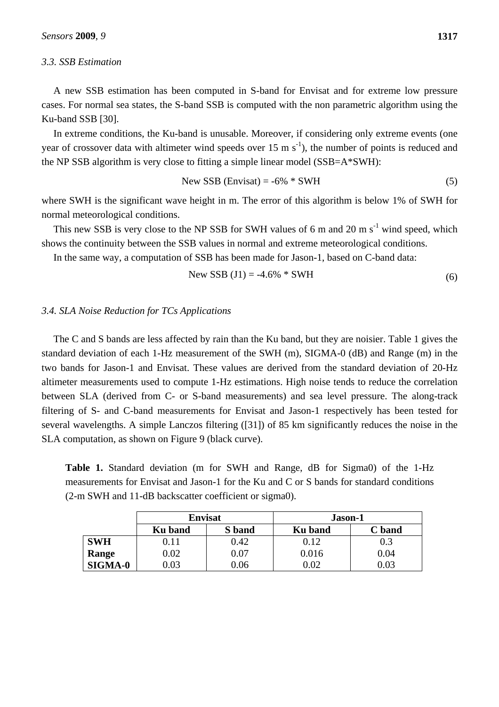#### *3.3. SSB Estimation*

A new SSB estimation has been computed in S-band for Envisat and for extreme low pressure cases. For normal sea states, the S-band SSB is computed with the non parametric algorithm using the Ku-band SSB [30].

In extreme conditions, the Ku-band is unusable. Moreover, if considering only extreme events (one year of crossover data with altimeter wind speeds over 15 m  $s^{-1}$ ), the number of points is reduced and the NP SSB algorithm is very close to fitting a simple linear model (SSB=A\*SWH):

$$
New SSB (Envisat) = -6\% * SWH
$$
 (5)

where SWH is the significant wave height in m. The error of this algorithm is below 1% of SWH for normal meteorological conditions.

This new SSB is very close to the NP SSB for SWH values of 6 m and 20 m  $s^{-1}$  wind speed, which shows the continuity between the SSB values in normal and extreme meteorological conditions.

In the same way, a computation of SSB has been made for Jason-1, based on C-band data:

New SSB (J1) = -4.6% \* SWH 
$$
(6)
$$

### *3.4. SLA Noise Reduction for TCs Applications*

The C and S bands are less affected by rain than the Ku band, but they are noisier. Table 1 gives the standard deviation of each 1-Hz measurement of the SWH (m), SIGMA-0 (dB) and Range (m) in the two bands for Jason-1 and Envisat. These values are derived from the standard deviation of 20-Hz altimeter measurements used to compute 1-Hz estimations. High noise tends to reduce the correlation between SLA (derived from C- or S-band measurements) and sea level pressure. The along-track filtering of S- and C-band measurements for Envisat and Jason-1 respectively has been tested for several wavelengths. A simple Lanczos filtering ([31]) of 85 km significantly reduces the noise in the SLA computation, as shown on Figure 9 (black curve).

**Table 1.** Standard deviation (m for SWH and Range, dB for Sigma0) of the 1-Hz measurements for Envisat and Jason-1 for the Ku and C or S bands for standard conditions (2-m SWH and 11-dB backscatter coefficient or sigma0).

|                | <b>Envisat</b> |        | Jason-1 |          |  |
|----------------|----------------|--------|---------|----------|--|
|                | <b>Ku</b> band | S band | Ku band | C band   |  |
| <b>SWH</b>     | $0.11\,$       | 0.42   | 9.12    | 0.3      |  |
| Range          | $0.02\,$       | 0.07   | 0.016   | 0.04     |  |
| <b>SIGMA-0</b> | 0.03           | 0.06   |         | $0.03\,$ |  |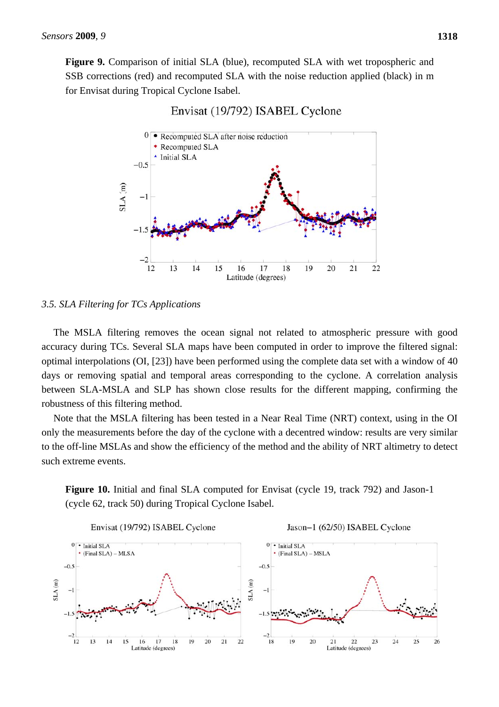Figure 9. Comparison of initial SLA (blue), recomputed SLA with wet tropospheric and SSB corrections (red) and recomputed SLA with the noise reduction applied (black) in m for Envisat during Tropical Cyclone Isabel.



# Envisat (19/792) ISABEL Cyclone

# *3.5. SLA Filtering for TCs Applications*

The MSLA filtering removes the ocean signal not related to atmospheric pressure with good accuracy during TCs. Several SLA maps have been computed in order to improve the filtered signal: optimal interpolations (OI, [23]) have been performed using the complete data set with a window of 40 days or removing spatial and temporal areas corresponding to the cyclone. A correlation analysis between SLA-MSLA and SLP has shown close results for the different mapping, confirming the robustness of this filtering method.

Note that the MSLA filtering has been tested in a Near Real Time (NRT) context, using in the OI only the measurements before the day of the cyclone with a decentred window: results are very similar to the off-line MSLAs and show the efficiency of the method and the ability of NRT altimetry to detect such extreme events.

**Figure 10.** Initial and final SLA computed for Envisat (cycle 19, track 792) and Jason-1 (cycle 62, track 50) during Tropical Cyclone Isabel.

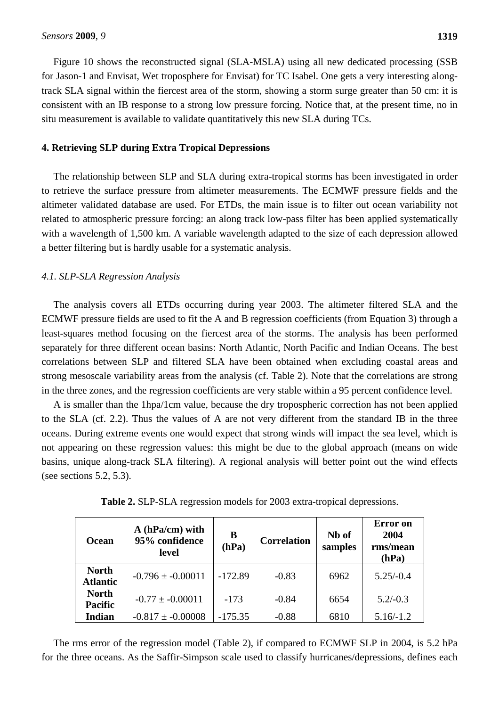Figure 10 shows the reconstructed signal (SLA-MSLA) using all new dedicated processing (SSB for Jason-1 and Envisat, Wet troposphere for Envisat) for TC Isabel. One gets a very interesting alongtrack SLA signal within the fiercest area of the storm, showing a storm surge greater than 50 cm: it is consistent with an IB response to a strong low pressure forcing. Notice that, at the present time, no in situ measurement is available to validate quantitatively this new SLA during TCs.

### **4. Retrieving SLP during Extra Tropical Depressions**

The relationship between SLP and SLA during extra-tropical storms has been investigated in order to retrieve the surface pressure from altimeter measurements. The ECMWF pressure fields and the altimeter validated database are used. For ETDs, the main issue is to filter out ocean variability not related to atmospheric pressure forcing: an along track low-pass filter has been applied systematically with a wavelength of 1,500 km. A variable wavelength adapted to the size of each depression allowed a better filtering but is hardly usable for a systematic analysis.

### *4.1. SLP-SLA Regression Analysis*

The analysis covers all ETDs occurring during year 2003. The altimeter filtered SLA and the ECMWF pressure fields are used to fit the A and B regression coefficients (from Equation 3) through a least-squares method focusing on the fiercest area of the storms. The analysis has been performed separately for three different ocean basins: North Atlantic, North Pacific and Indian Oceans. The best correlations between SLP and filtered SLA have been obtained when excluding coastal areas and strong mesoscale variability areas from the analysis (cf. Table 2). Note that the correlations are strong in the three zones, and the regression coefficients are very stable within a 95 percent confidence level.

A is smaller than the 1hpa/1cm value, because the dry tropospheric correction has not been applied to the SLA (cf. 2.2). Thus the values of A are not very different from the standard IB in the three oceans. During extreme events one would expect that strong winds will impact the sea level, which is not appearing on these regression values: this might be due to the global approach (means on wide basins, unique along-track SLA filtering). A regional analysis will better point out the wind effects (see sections 5.2, 5.3).

| <b>Ocean</b>                    | $A(hPa/cm)$ with<br>95% confidence<br>level | B<br>(hPa) | <b>Correlation</b> | Nb of<br>samples | <b>Error</b> on<br>2004<br>rms/mean<br>(hPa) |
|---------------------------------|---------------------------------------------|------------|--------------------|------------------|----------------------------------------------|
| <b>North</b><br><b>Atlantic</b> | $-0.796 \pm -0.00011$                       | $-172.89$  | $-0.83$            | 6962             | $5.25/-0.4$                                  |
| <b>North</b><br><b>Pacific</b>  | $-0.77 \pm -0.00011$                        | $-173$     | $-0.84$            | 6654             | $5.2/-0.3$                                   |

**Table 2.** SLP-SLA regression models for 2003 extra-tropical depressions.

The rms error of the regression model (Table 2), if compared to ECMWF SLP in 2004, is 5.2 hPa for the three oceans. As the Saffir-Simpson scale used to classify hurricanes/depressions, defines each

**Indian** -0.817 ± -0.00008 -175.35 -0.88 6810 5.16/-1.2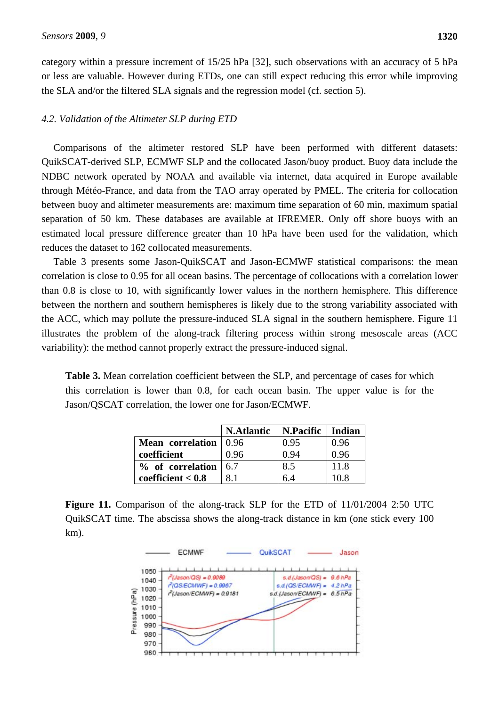category within a pressure increment of 15/25 hPa [32], such observations with an accuracy of 5 hPa or less are valuable. However during ETDs, one can still expect reducing this error while improving the SLA and/or the filtered SLA signals and the regression model (cf. section 5).

## *4.2. Validation of the Altimeter SLP during ETD*

Comparisons of the altimeter restored SLP have been performed with different datasets: QuikSCAT-derived SLP, ECMWF SLP and the collocated Jason/buoy product. Buoy data include the NDBC network operated by NOAA and available via internet, data acquired in Europe available through Météo-France, and data from the TAO array operated by PMEL. The criteria for collocation between buoy and altimeter measurements are: maximum time separation of 60 min, maximum spatial separation of 50 km. These databases are available at IFREMER. Only off shore buoys with an estimated local pressure difference greater than 10 hPa have been used for the validation, which reduces the dataset to 162 collocated measurements.

Table 3 presents some Jason-QuikSCAT and Jason-ECMWF statistical comparisons: the mean correlation is close to 0.95 for all ocean basins. The percentage of collocations with a correlation lower than 0.8 is close to 10, with significantly lower values in the northern hemisphere. This difference between the northern and southern hemispheres is likely due to the strong variability associated with the ACC, which may pollute the pressure-induced SLA signal in the southern hemisphere. Figure 11 illustrates the problem of the along-track filtering process within strong mesoscale areas (ACC variability): the method cannot properly extract the pressure-induced signal.

**Table 3.** Mean correlation coefficient between the SLP, and percentage of cases for which this correlation is lower than 0.8, for each ocean basin. The upper value is for the Jason/QSCAT correlation, the lower one for Jason/ECMWF.

|                           | <b>N.Atlantic</b> | N.Pacific | Indian |
|---------------------------|-------------------|-----------|--------|
| Mean correlation   0.96   |                   | 0.95      | 0.96   |
| coefficient               | 0.96              | 0.94      | 0.96   |
| $%$ of correlation $ 6.7$ |                   | 8.5       | 11.8   |
| coefficient < 0.8         | 81                | 64        | 10.8   |

Figure 11. Comparison of the along-track SLP for the ETD of  $11/01/2004$  2:50 UTC QuikSCAT time. The abscissa shows the along-track distance in km (one stick every 100 km).

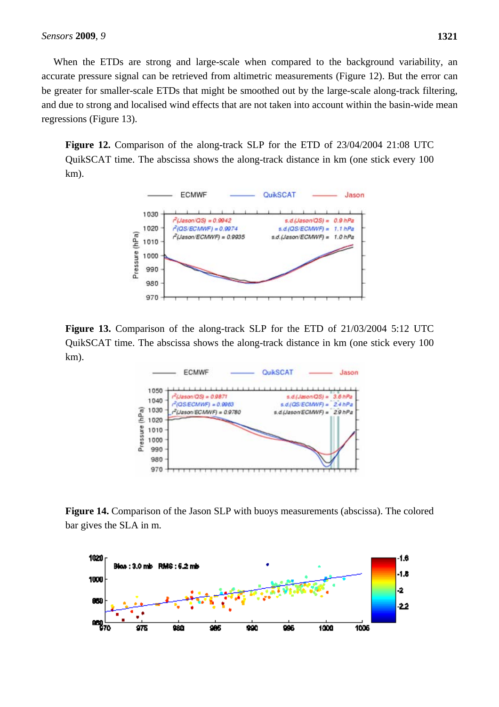When the ETDs are strong and large-scale when compared to the background variability, an accurate pressure signal can be retrieved from altimetric measurements (Figure 12). But the error can be greater for smaller-scale ETDs that might be smoothed out by the large-scale along-track filtering, and due to strong and localised wind effects that are not taken into account within the basin-wide mean regressions (Figure 13).

**Figure 12.** Comparison of the along-track SLP for the ETD of 23/04/2004 21:08 UTC QuikSCAT time. The abscissa shows the along-track distance in km (one stick every 100 km).



Figure 13. Comparison of the along-track SLP for the ETD of 21/03/2004 5:12 UTC QuikSCAT time. The abscissa shows the along-track distance in km (one stick every 100 km).



**Figure 14.** Comparison of the Jason SLP with buoys measurements (abscissa). The colored bar gives the SLA in m.

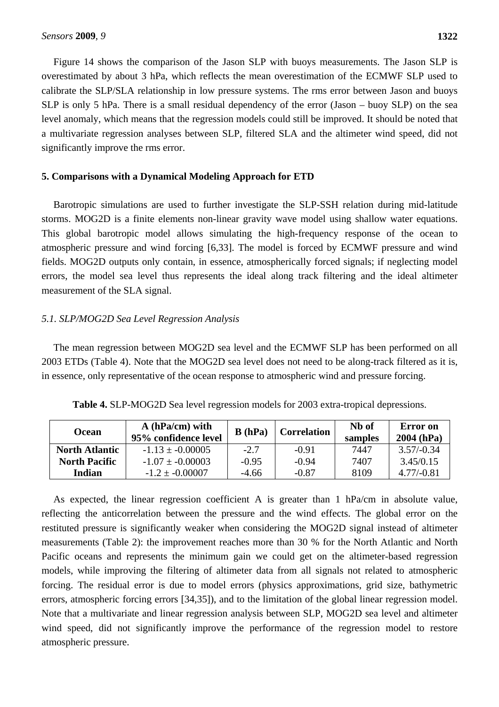**1322**

Figure 14 shows the comparison of the Jason SLP with buoys measurements. The Jason SLP is overestimated by about 3 hPa, which reflects the mean overestimation of the ECMWF SLP used to calibrate the SLP/SLA relationship in low pressure systems. The rms error between Jason and buoys SLP is only 5 hPa. There is a small residual dependency of the error (Jason – buoy SLP) on the sea level anomaly, which means that the regression models could still be improved. It should be noted that a multivariate regression analyses between SLP, filtered SLA and the altimeter wind speed, did not significantly improve the rms error.

# **5. Comparisons with a Dynamical Modeling Approach for ETD**

Barotropic simulations are used to further investigate the SLP-SSH relation during mid-latitude storms. MOG2D is a finite elements non-linear gravity wave model using shallow water equations. This global barotropic model allows simulating the high-frequency response of the ocean to atmospheric pressure and wind forcing [6,33]. The model is forced by ECMWF pressure and wind fields. MOG2D outputs only contain, in essence, atmospherically forced signals; if neglecting model errors, the model sea level thus represents the ideal along track filtering and the ideal altimeter measurement of the SLA signal.

# *5.1. SLP/MOG2D Sea Level Regression Analysis*

The mean regression between MOG2D sea level and the ECMWF SLP has been performed on all 2003 ETDs (Table 4). Note that the MOG2D sea level does not need to be along-track filtered as it is, in essence, only representative of the ocean response to atmospheric wind and pressure forcing.

| Ocean                 | $A(hPa/cm)$ with<br>95% confidence level | B(hPa)  | <b>Correlation</b> | N <sub>b</sub> of<br>samples | Error on<br>$2004$ (hPa) |
|-----------------------|------------------------------------------|---------|--------------------|------------------------------|--------------------------|
| <b>North Atlantic</b> | $-1.13 + -0.00005$                       | $-2.7$  | $-0.91$            | 7447                         | $3.57/-0.34$             |
| <b>North Pacific</b>  | $-1.07 + -0.00003$                       | $-0.95$ | $-0.94$            | 7407                         | 3.45/0.15                |
| Indian                | $-1.2 \pm -0.00007$                      | $-4.66$ | $-0.87$            | 8109                         | $4.77/-0.81$             |

**Table 4.** SLP-MOG2D Sea level regression models for 2003 extra-tropical depressions.

As expected, the linear regression coefficient A is greater than 1 hPa/cm in absolute value, reflecting the anticorrelation between the pressure and the wind effects. The global error on the restituted pressure is significantly weaker when considering the MOG2D signal instead of altimeter measurements (Table 2): the improvement reaches more than 30 % for the North Atlantic and North Pacific oceans and represents the minimum gain we could get on the altimeter-based regression models, while improving the filtering of altimeter data from all signals not related to atmospheric forcing. The residual error is due to model errors (physics approximations, grid size, bathymetric errors, atmospheric forcing errors [34,35]), and to the limitation of the global linear regression model. Note that a multivariate and linear regression analysis between SLP, MOG2D sea level and altimeter wind speed, did not significantly improve the performance of the regression model to restore atmospheric pressure.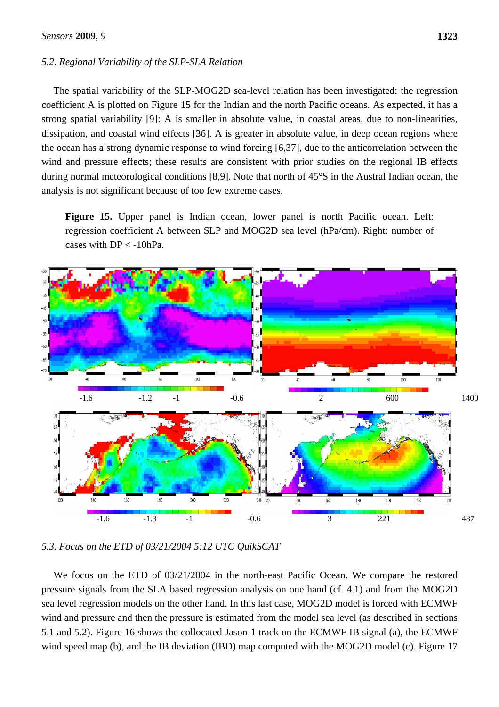### *5.2. Regional Variability of the SLP-SLA Relation*

The spatial variability of the SLP-MOG2D sea-level relation has been investigated: the regression coefficient A is plotted on Figure 15 for the Indian and the north Pacific oceans. As expected, it has a strong spatial variability [9]: A is smaller in absolute value, in coastal areas, due to non-linearities, dissipation, and coastal wind effects [36]. A is greater in absolute value, in deep ocean regions where the ocean has a strong dynamic response to wind forcing [6,37], due to the anticorrelation between the wind and pressure effects; these results are consistent with prior studies on the regional IB effects during normal meteorological conditions [8,9]. Note that north of 45°S in the Austral Indian ocean, the analysis is not significant because of too few extreme cases.

**Figure 15.** Upper panel is Indian ocean, lower panel is north Pacific ocean. Left: regression coefficient A between SLP and MOG2D sea level (hPa/cm). Right: number of cases with  $DP < -10hPa$ .



*5.3. Focus on the ETD of 03/21/2004 5:12 UTC QuikSCAT* 

We focus on the ETD of 03/21/2004 in the north-east Pacific Ocean. We compare the restored pressure signals from the SLA based regression analysis on one hand (cf. 4.1) and from the MOG2D sea level regression models on the other hand. In this last case, MOG2D model is forced with ECMWF wind and pressure and then the pressure is estimated from the model sea level (as described in sections 5.1 and 5.2). Figure 16 shows the collocated Jason-1 track on the ECMWF IB signal (a), the ECMWF wind speed map (b), and the IB deviation (IBD) map computed with the MOG2D model (c). Figure 17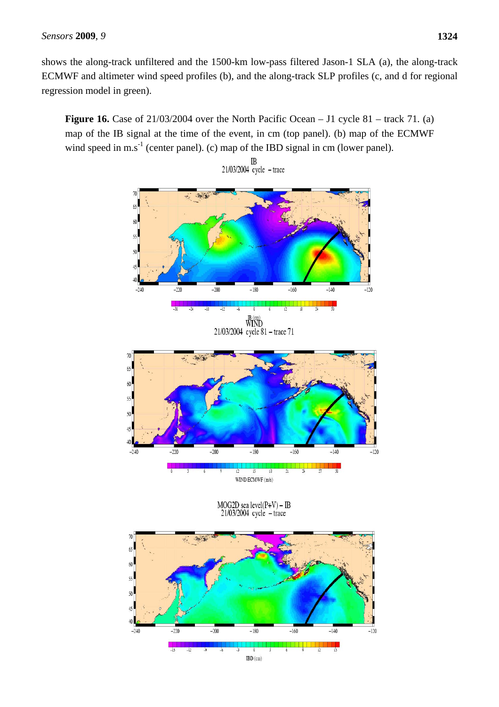shows the along-track unfiltered and the 1500-km low-pass filtered Jason-1 SLA (a), the along-track ECMWF and altimeter wind speed profiles (b), and the along-track SLP profiles (c, and d for regional regression model in green).

**Figure 16.** Case of 21/03/2004 over the North Pacific Ocean – J1 cycle 81 – track 71. (a) map of the IB signal at the time of the event, in cm (top panel). (b) map of the ECMWF wind speed in m.s<sup>-1</sup> (center panel). (c) map of the IBD signal in cm (lower panel).



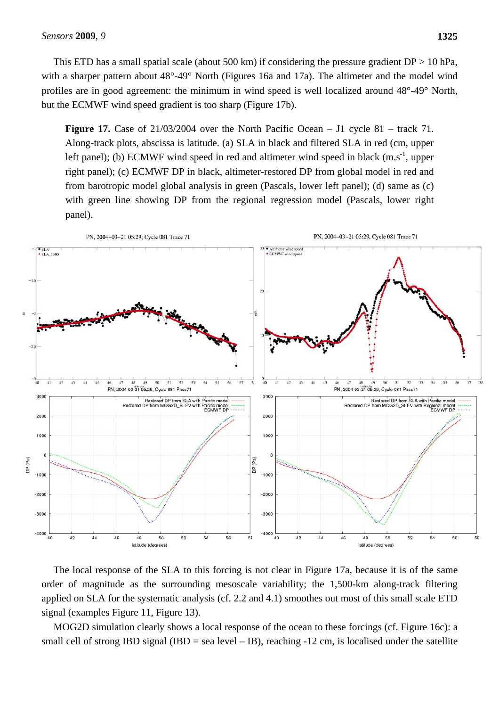This ETD has a small spatial scale (about 500 km) if considering the pressure gradient  $DP > 10$  hPa, with a sharper pattern about 48°-49° North (Figures 16a and 17a). The altimeter and the model wind profiles are in good agreement: the minimum in wind speed is well localized around 48°-49° North, but the ECMWF wind speed gradient is too sharp (Figure 17b).

**Figure 17.** Case of 21/03/2004 over the North Pacific Ocean – J1 cycle 81 – track 71. Along-track plots, abscissa is latitude. (a) SLA in black and filtered SLA in red (cm, upper left panel); (b) ECMWF wind speed in red and altimeter wind speed in black  $(m.s^{-1})$ , upper right panel); (c) ECMWF DP in black, altimeter-restored DP from global model in red and from barotropic model global analysis in green (Pascals, lower left panel); (d) same as (c) with green line showing DP from the regional regression model (Pascals, lower right panel).



The local response of the SLA to this forcing is not clear in Figure 17a, because it is of the same order of magnitude as the surrounding mesoscale variability; the 1,500-km along-track filtering applied on SLA for the systematic analysis (cf. 2.2 and 4.1) smoothes out most of this small scale ETD signal (examples Figure 11, Figure 13).

MOG2D simulation clearly shows a local response of the ocean to these forcings (cf. Figure 16c): a small cell of strong IBD signal (IBD = sea level – IB), reaching -12 cm, is localised under the satellite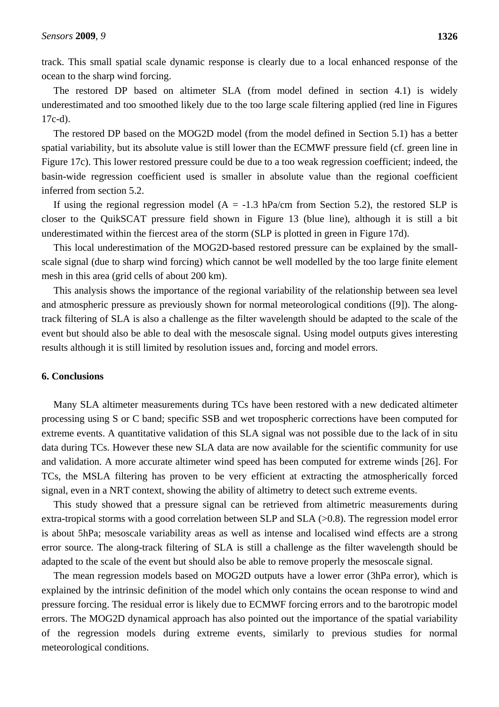track. This small spatial scale dynamic response is clearly due to a local enhanced response of the ocean to the sharp wind forcing.

The restored DP based on altimeter SLA (from model defined in section 4.1) is widely underestimated and too smoothed likely due to the too large scale filtering applied (red line in Figures 17c-d).

The restored DP based on the MOG2D model (from the model defined in Section 5.1) has a better spatial variability, but its absolute value is still lower than the ECMWF pressure field (cf. green line in Figure 17c). This lower restored pressure could be due to a too weak regression coefficient; indeed, the basin-wide regression coefficient used is smaller in absolute value than the regional coefficient inferred from section 5.2.

If using the regional regression model ( $A = -1.3$  hPa/cm from Section 5.2), the restored SLP is closer to the QuikSCAT pressure field shown in Figure 13 (blue line), although it is still a bit underestimated within the fiercest area of the storm (SLP is plotted in green in Figure 17d).

This local underestimation of the MOG2D-based restored pressure can be explained by the smallscale signal (due to sharp wind forcing) which cannot be well modelled by the too large finite element mesh in this area (grid cells of about 200 km).

This analysis shows the importance of the regional variability of the relationship between sea level and atmospheric pressure as previously shown for normal meteorological conditions ([9]). The alongtrack filtering of SLA is also a challenge as the filter wavelength should be adapted to the scale of the event but should also be able to deal with the mesoscale signal. Using model outputs gives interesting results although it is still limited by resolution issues and, forcing and model errors.

## **6. Conclusions**

Many SLA altimeter measurements during TCs have been restored with a new dedicated altimeter processing using S or C band; specific SSB and wet tropospheric corrections have been computed for extreme events. A quantitative validation of this SLA signal was not possible due to the lack of in situ data during TCs. However these new SLA data are now available for the scientific community for use and validation. A more accurate altimeter wind speed has been computed for extreme winds [26]. For TCs, the MSLA filtering has proven to be very efficient at extracting the atmospherically forced signal, even in a NRT context, showing the ability of altimetry to detect such extreme events.

This study showed that a pressure signal can be retrieved from altimetric measurements during extra-tropical storms with a good correlation between SLP and SLA (>0.8). The regression model error is about 5hPa; mesoscale variability areas as well as intense and localised wind effects are a strong error source. The along-track filtering of SLA is still a challenge as the filter wavelength should be adapted to the scale of the event but should also be able to remove properly the mesoscale signal.

The mean regression models based on MOG2D outputs have a lower error (3hPa error), which is explained by the intrinsic definition of the model which only contains the ocean response to wind and pressure forcing. The residual error is likely due to ECMWF forcing errors and to the barotropic model errors. The MOG2D dynamical approach has also pointed out the importance of the spatial variability of the regression models during extreme events, similarly to previous studies for normal meteorological conditions.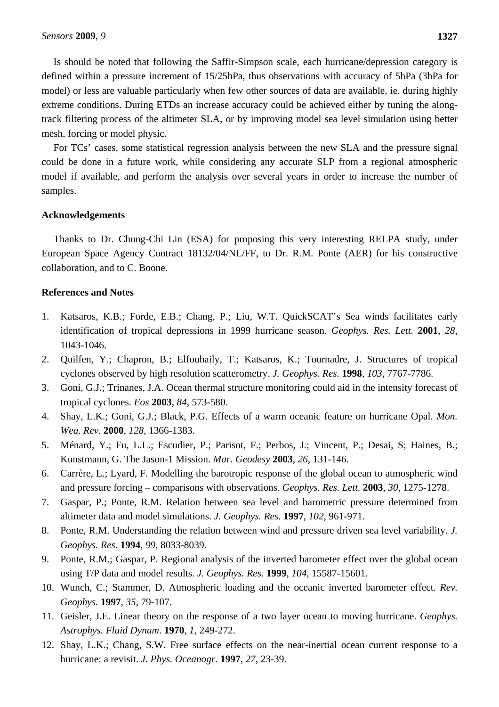Is should be noted that following the Saffir-Simpson scale, each hurricane/depression category is defined within a pressure increment of 15/25hPa, thus observations with accuracy of 5hPa (3hPa for model) or less are valuable particularly when few other sources of data are available, ie. during highly extreme conditions. During ETDs an increase accuracy could be achieved either by tuning the alongtrack filtering process of the altimeter SLA, or by improving model sea level simulation using better mesh, forcing or model physic.

For TCs' cases, some statistical regression analysis between the new SLA and the pressure signal could be done in a future work, while considering any accurate SLP from a regional atmospheric model if available, and perform the analysis over several years in order to increase the number of samples.

## **Acknowledgements**

Thanks to Dr. Chung-Chi Lin (ESA) for proposing this very interesting RELPA study, under European Space Agency Contract 18132/04/NL/FF, to Dr. R.M. Ponte (AER) for his constructive collaboration, and to C. Boone.

## **References and Notes**

- 1. Katsaros, K.B.; Forde, E.B.; Chang, P.; Liu, W.T. QuickSCAT's Sea winds facilitates early identification of tropical depressions in 1999 hurricane season. *Geophys. Res. Lett.* **2001**, *28*, 1043-1046.
- 2. Quilfen, Y.; Chapron, B.; Elfouhaily, T.; Katsaros, K.; Tournadre, J. Structures of tropical cyclones observed by high resolution scatterometry. *J. Geophys. Res.* **1998**, *103*, 7767-7786.
- 3. Goni, G.J.; Trinanes, J.A. Ocean thermal structure monitoring could aid in the intensity forecast of tropical cyclones. *Eos* **2003**, *84*, 573-580.
- 4. Shay, L.K.; Goni, G.J.; Black, P.G. Effects of a warm oceanic feature on hurricane Opal. *Mon. Wea. Rev.* **2000**, *128*, 1366-1383.
- 5. Ménard, Y.; Fu, L.L.; Escudier, P.; Parisot, F.; Perbos, J.; Vincent, P.; Desai, S; Haines, B.; Kunstmann, G. The Jason-1 Mission. *Mar. Geodesy* **2003**, *26*, 131-146.
- 6. Carrère, L.; Lyard, F. Modelling the barotropic response of the global ocean to atmospheric wind and pressure forcing – comparisons with observations. *Geophys. Res. Lett.* **2003**, *30*, 1275-1278.
- 7. Gaspar, P.; Ponte, R.M. Relation between sea level and barometric pressure determined from altimeter data and model simulations. *J. Geophys. Res.* **1997**, *102*, 961-971.
- 8. Ponte, R.M. Understanding the relation between wind and pressure driven sea level variability. *J. Geophys. Res.* **1994**, *99*, 8033-8039.
- 9. Ponte, R.M.; Gaspar, P. Regional analysis of the inverted barometer effect over the global ocean using T/P data and model results. *J. Geophys. Res.* **1999**, *104*, 15587-15601.
- 10. Wunch, C.; Stammer, D. Atmospheric loading and the oceanic inverted barometer effect. *Rev. Geophys.* **1997**, *35*, 79-107.
- 11. Geisler, J.E. Linear theory on the response of a two layer ocean to moving hurricane. *Geophys. Astrophys. Fluid Dynam*. **1970**, *1*, 249-272.
- 12. Shay, L.K.; Chang, S.W. Free surface effects on the near-inertial ocean current response to a hurricane: a revisit. *J. Phys. Oceanogr.* **1997**, *27*, 23-39.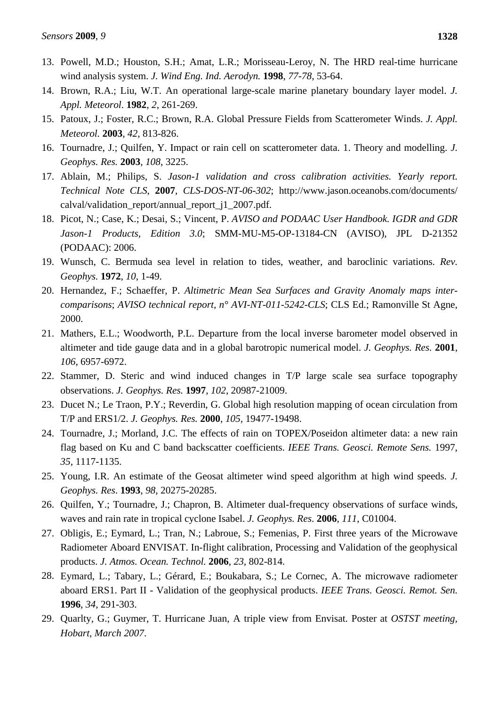- 13. Powell, M.D.; Houston, S.H.; Amat, L.R.; Morisseau-Leroy, N. The HRD real-time hurricane wind analysis system. *J. Wind Eng. Ind. Aerodyn.* **1998**, *77-78*, 53-64.
- 14. Brown, R.A.; Liu, W.T. An operational large-scale marine planetary boundary layer model. *J. Appl. Meteorol*. **1982**, *2*, 261-269.
- 15. Patoux, J.; Foster, R.C.; Brown, R.A. Global Pressure Fields from Scatterometer Winds. *J. Appl. Meteorol.* **2003**, *42*, 813-826.
- 16. Tournadre, J.; Quilfen, Y. Impact or rain cell on scatterometer data. 1. Theory and modelling. *J. Geophys. Res.* **2003**, *108*, 3225.
- 17. Ablain, M.; Philips, S. *Jason-1 validation and cross calibration activities. Yearly report. Technical Note CLS*, **2007**, *CLS-DOS-NT-06-302*; http://www.jason.oceanobs.com/documents/ calval/validation\_report/annual\_report\_j1\_2007.pdf.
- 18. Picot, N.; Case, K.; Desai, S.; Vincent, P. *AVISO and PODAAC User Handbook. IGDR and GDR Jason-1 Products*, *Edition 3.0*; SMM-MU-M5-OP-13184-CN (AVISO), JPL D-21352 (PODAAC): 2006.
- 19. Wunsch, C. Bermuda sea level in relation to tides, weather, and baroclinic variations. *Rev. Geophys.* **1972**, *10*, 1-49.
- 20. Hernandez, F.; Schaeffer, P. *Altimetric Mean Sea Surfaces and Gravity Anomaly maps intercomparisons*; *AVISO technical report, n° AVI-NT-011-5242-CLS*; CLS Ed.; Ramonville St Agne, 2000.
- 21. Mathers, E.L.; Woodworth, P.L. Departure from the local inverse barometer model observed in altimeter and tide gauge data and in a global barotropic numerical model. *J. Geophys. Res.* **2001**, *106*, 6957-6972.
- 22. Stammer, D. Steric and wind induced changes in T/P large scale sea surface topography observations. *J. Geophys. Res.* **1997**, *102*, 20987-21009.
- 23. Ducet N.; Le Traon, P.Y.; Reverdin, G. Global high resolution mapping of ocean circulation from T/P and ERS1/2. *J. Geophys. Res.* **2000**, *105*, 19477-19498.
- 24. Tournadre, J.; Morland, J.C. The effects of rain on TOPEX/Poseidon altimeter data: a new rain flag based on Ku and C band backscatter coefficients. *IEEE Trans. Geosci. Remote Sens.* 1997, *35*, 1117-1135.
- 25. Young, I.R. An estimate of the Geosat altimeter wind speed algorithm at high wind speeds. *J. Geophys. Res*. **1993**, *98*, 20275-20285.
- 26. Quilfen, Y.; Tournadre, J.; Chapron, B. Altimeter dual-frequency observations of surface winds, waves and rain rate in tropical cyclone Isabel. *J. Geophys. Res*. **2006**, *111*, C01004.
- 27. Obligis, E.; Eymard, L.; Tran, N.; Labroue, S.; Femenias, P. First three years of the Microwave Radiometer Aboard ENVISAT. In-flight calibration, Processing and Validation of the geophysical products. *J. Atmos. Ocean. Technol.* **2006**, *23*, 802-814.
- 28. Eymard, L.; Tabary, L.; Gérard, E.; Boukabara, S.; Le Cornec, A. The microwave radiometer aboard ERS1. Part II - Validation of the geophysical products. *IEEE Trans. Geosci. Remot. Sen.*  **1996**, *34*, 291-303.
- 29. Quarlty, G.; Guymer, T. Hurricane Juan, A triple view from Envisat. Poster at *OSTST meeting, Hobart, March 2007*.